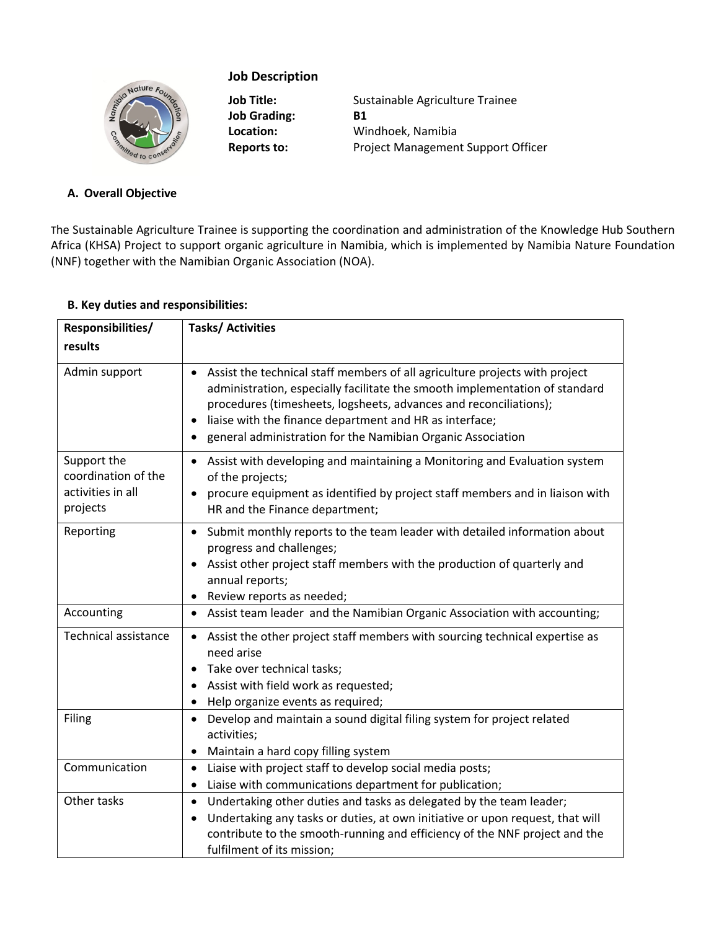# Nature Fo.

# **Job Description**

**Job Grading: B1**

**Job Title:** Sustainable Agriculture Trainee **Location:** Windhoek, Namibia Reports to: Project Management Support Officer

# **A. Overall Objective**

The Sustainable Agriculture Trainee is supporting the coordination and administration of the Knowledge Hub Southern Africa (KHSA) Project to support organic agriculture in Namibia, which is implemented by Namibia Nature Foundation (NNF) together with the Namibian Organic Association (NOA).

## **B. Key duties and responsibilities:**

| Responsibilities/                                                   | <b>Tasks/Activities</b>                                                                                                                                                                                                                                                                                                                                                  |  |  |
|---------------------------------------------------------------------|--------------------------------------------------------------------------------------------------------------------------------------------------------------------------------------------------------------------------------------------------------------------------------------------------------------------------------------------------------------------------|--|--|
| results                                                             |                                                                                                                                                                                                                                                                                                                                                                          |  |  |
| Admin support                                                       | • Assist the technical staff members of all agriculture projects with project<br>administration, especially facilitate the smooth implementation of standard<br>procedures (timesheets, logsheets, advances and reconciliations);<br>liaise with the finance department and HR as interface;<br>general administration for the Namibian Organic Association<br>$\bullet$ |  |  |
| Support the<br>coordination of the<br>activities in all<br>projects | Assist with developing and maintaining a Monitoring and Evaluation system<br>of the projects;<br>procure equipment as identified by project staff members and in liaison with<br>HR and the Finance department;                                                                                                                                                          |  |  |
| Reporting                                                           | Submit monthly reports to the team leader with detailed information about<br>$\bullet$<br>progress and challenges;<br>Assist other project staff members with the production of quarterly and<br>annual reports;<br>Review reports as needed;<br>$\bullet$                                                                                                               |  |  |
| Accounting                                                          | Assist team leader and the Namibian Organic Association with accounting;<br>$\bullet$                                                                                                                                                                                                                                                                                    |  |  |
| <b>Technical assistance</b>                                         | Assist the other project staff members with sourcing technical expertise as<br>need arise<br>Take over technical tasks;<br>Assist with field work as requested;<br>$\bullet$<br>Help organize events as required;                                                                                                                                                        |  |  |
| Filing                                                              | Develop and maintain a sound digital filing system for project related<br>$\bullet$<br>activities;<br>Maintain a hard copy filling system<br>$\bullet$                                                                                                                                                                                                                   |  |  |
| Communication                                                       | Liaise with project staff to develop social media posts;<br>$\bullet$<br>Liaise with communications department for publication;<br>$\bullet$                                                                                                                                                                                                                             |  |  |
| Other tasks                                                         | Undertaking other duties and tasks as delegated by the team leader;<br>$\bullet$<br>Undertaking any tasks or duties, at own initiative or upon request, that will<br>$\bullet$<br>contribute to the smooth-running and efficiency of the NNF project and the<br>fulfilment of its mission;                                                                               |  |  |